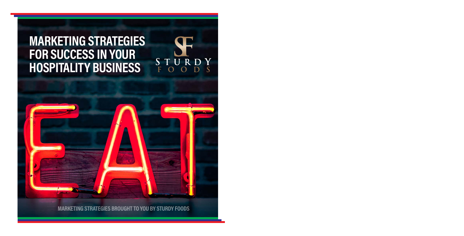## **MARKETING STRATEGIES FOR SUCCESS IN YOUR HOSPITALITY BUSINESS**

**MARKETING STRATEGIES BROUGHT TO YOU BY STURDY FOODS**

 $S \nF$ 

Y  $\overline{\mathbf{S}}$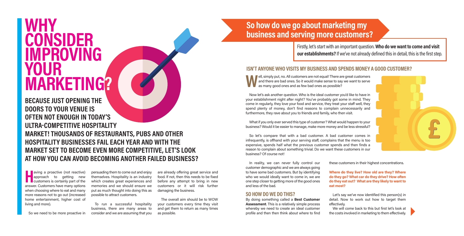# **WHY CONSIDER IMPROVING YOUR MARKETING?**

**BECAUSE JUST OPENING THE DOORS TO YOUR VENUE IS OFTEN NOT ENOUGH IN TODAY'S ULTRA-COMPETITIVE HOSPITALITY MARKET! THOUSANDS OF RESTAURANTS, PUBS AND OTHER HOSPITALITY BUSINESSES FAIL EACH YEAR AND WITH THE MARKET SET TO BECOME EVEN MORE COMPETITIVE, LET'S LOOK AT HOW YOU CAN AVOID BECOMING ANOTHER FAILED BUSINESS?**

**H a** aving a proactive (not reactive) approach to getting new customers is certainly part of the answer. Customers have many options when choosing where to eat and many more reasons not to go out (increased home entertainment, higher cost of living and more).

persuading them to come out and enjoy themselves. Hospitality is an industry which creates great experiences and memories and we should ensure we put as much thought into doing this as possible to attract customers.

To run a successful hospitality business, there are many areas to consider and we are assuming that you

before any attempt to bring in new customers or it will risk further damaging the business. The overall aim should be to WOW

are already offering great service and food. If not, then this needs to be fixed

your customers every time they visit and get them to return as many times as possible.

### **So how do we go about marketing my business and serving more customers?**

Firstly, let's start with an important question. **Who do we want to come and visit our establishments?** If we've not already defined this in detail, this is the first step.

### **ISN'T ANYONE WHO VISITS MY BUSINESS AND SPENDS MONEY A GOOD CUSTOMER?**

**WELG**, simply put, no. All customers are not equal! There are great customers and there are bad ones. So it would make sense to say we want to serve as many good ones and as few bad ones as possible? and there are bad ones. So it would make sense to say we want to serve as many good ones and as few bad ones as possible?

Now let's ask another question. Who is the ideal customer you'd like to have in your establishment night after night? You've probably got some in mind. They come in regularly, they love your food and service, they treat your staff well, they spend plenty of money, don't find reasons to complain unnecessarily and furthermore, they rave about you to friends and family, who then visit.

What if you only ever served this type of customer? What would happen to your business? Would it be easier to manage, make more money and be less stressful?

So let's compare that with a bad customer. A bad customer comes in infrequently, is offhand with your serving staff, complains that the menu is too expensive, spends half what the previous customer spends and then finds a reason to complain about something trivial. Do we want these customers in our business? Of course not!

In reality, we can never fully control our customer demographic and we are always going to have some bad customers. But by identifying who we would ideally want to come in, we are one step closer to getting more of the good ones and less of the bad.

#### **SO HOW DO WE DO THIS?**

By doing something called a **Best Customer Assessment**. This is a relatively simple process whereby we need to create an ideal customer profile and then then think about where to find

these customers in their highest concentrations.

**Where do they live? How old are they? Where do they go? What car do they drive? How often do they eat out? What are they likely to want to eat most?**

Let's say we've now identified this person(s) in detail. Now to work out how to target them effectively.

We will come back to this but first let's look at the costs involved in marketing to them effectively.



So we need to be more proactive in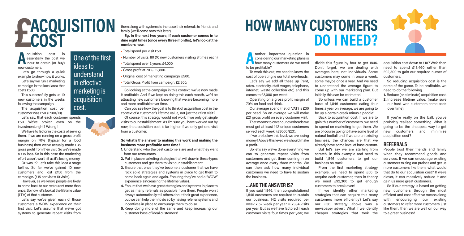# **£ACQUISITION COST**

**A** cquisition cost is essentially the cost we incur to obtain (or buy) new customers.

Let's go through a quick example to show how it works.

Let's say we run a marketing campaign in the local area that costs £500. This successfully gets us 10

new customers in the weeks following the campaign.

The acquisition cost per customer was £50. (£500/10)

Let's say, that each customer spends £50. We've broken even on the investment, right? Wrong!

We have to factor in the costs of serving them. If we are running on a gross profit margin on 70% (typical for a food business) then we've actually made £35 gross profit from their visit. So we've made a £15 loss. So in this case the marketing effort wasn't worth it as it's losing money.

Or was it? Let's take this idea a stage further. So far we've gained 10 new customers and lost £150 from the campaign. (£15 per visit x 10 visits).

However, as we know, people are likely to come back to our restaurant more than once. So now let's look at the lifetime value (LTV) of that customer.

Let's say we've given each of those customers a WOW experience on their first visit. Let's assume that we've got systems to generate repeat visits from

One of the first ideas to understand in effective marketing is acquisition

cost.

**So what's the answer to making this work and making the business more profitable over time? 1.** Understand who the best customers are and what they want

> from our restaurants. **2.** Put in place marketing strategies that will draw in these types

customers and get them to visit our establishment.

**3.** Ensure that once they've become a customer that we have rock solid strategies and systems in place to get them to come back again and again. Ensuring they've had a 'WOW' experience. (increasing the lifetime value).

visits to our establishment. As I'm sure you have worked out by now, the acquisition cost is far higher if we only get one visit

them along with systems to increase their referrals to friends and

**Eg. In the next two years, if each customer comes in to dine eight times (once every three months), let's look at the**

• Number of visits. 80 (10 new customers visiting 8 times each)

family (we'll come onto this later).

• Total spend over 2 years. £4,000. • Gross profit at 70%. £2,800.

• Original cost of marketing campaign. £500. • Total Gross Profit from campaign. £2,300.

• Total spend per visit £50.

- **4.** Ensure that we have great strategies and systems in place to get as many referrals as possible from them. People won't always automatically tell others about their great experience, but we can help them to do so by having referral systems and incentives in place to encourage them to do so.
- **5.** Keep doing more of the same and keep increasing our customer base of ideal customers!

# **HOW MANY CUSTOMERS DO I NEED?**

**A** nother important question in considering our marketing plans is how many customers do we need to be profitable?

To work this out, we need to know the cost of operating ie our total overheads. Let's say we add all these up (rent, rates, electricity, staff wages, telephone, internet, waste collection etc) and this comes to £3,000 per week.

Operating on a gross profit margin of 70% on food and drink.

Our average spend (net of VAT) is £30 per head. So on average we will make £21 gross profit on every customer visit.

That means to cover our overheads we must get at least 142 unique customers served each week. (£3000/£21).

If we are below this level, we are losing money! Above this level, we should make a profit.

So let's say we've done everything we can to generate repeat visits from customers and get them coming in on average once every three months. We can then ask how many individual customers we need to have to sustain the business.

#### **…AND THE ANSWER IS?**

If you said 1,846, then congratulations! 1,846 customers are required to sustain our business. 142 visits required per week x 52 week per year  $= 7384$  visits per year. But as we have factored if each customer visits four times per year, we divide this figure by four to get 1846. Don't forget, we are dealing with averages here, not individuals. Some customers may come in once a week, some maybe once a year. And we need to understand the average figure to come up with our marketing plan. But initially this can be estimated.

So unless we can build a customer base of 1,846 customers eating four times a year on average, we are going to be up a certain creek minus a paddle!

Back to acquisition cost; If we are to gain this number of customers, we need to spend on marketing to get them. We are of course going to have some level of natural footfall and if we are an existing business, the chances are that we already have some level of base custom.

But let's say we are starting from scratch, in this example and need to build 1,846 customers to get our business on track.

From the first marketing strategy example, we need to spend £50 to acquire each customer, then in theory we need £92,300 to get enough customers to break even!

If we identify other marketing strategies that can acquire this many customers more efficiently? Let's say our £50 strategy above was a newspaper advert. What if we identify cheaper strategies that took the acquisition cost down to £10? We'd then need to spend £18,460 rather than £92,300 to gain our required numer of customers.

So reducing acquisition cost is the name of the game. To be profitable, we need to do the following.

**1.** Reduce (or eliminate) acquisition cost. **2.** Increase lifetime value. (make sure our hard-won customers come back over time).

If you're really on the ball, you've probably realised something. What is going to be the cheapest way to get new customers and minimise acquisition cost?

**REFERRALS**

People trust their friends and family when they recommend goods and services. If we can encourage existing customers to sing our praises and get us more customers like them, what would that do to our acquisition cost? If we're clever, it can massively reduce it and gain us more great customers.

So if our strategy is based on getting new customers through the most efficient and cost effective means along with encouraging our existing customers to refer more customers just like them, then we are well on our way to a great business!



from a customer.

**numbers now.**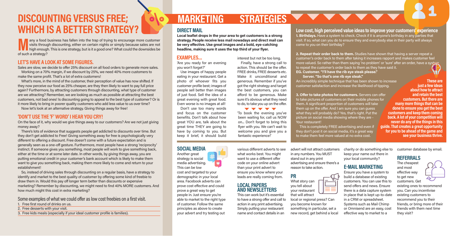### **DISCOUNTING VERSUS FREE; ( OOO MARKETING STRATEGIES WHICH IS A BETTER STRATEGY?**

**Many a** food business has fallen into the trap of trying to encourage more customer visits through discounting, either on certain nights or simply because sales are not high enough. This is one strategy, but is it a good visits through discounting, either on certain nights or simply because sales are not high enough. This is one strategy, but is it a good one? What could the downsides be of such a strategy?

#### **LET'S HAVE A LOOK AT SOME FIGURES.**

Sales are slow, we decide to offer 25% discount on all food orders to generate more sales. Working on a 70% margin, if we discount by 25%, we need 40% more customers to make the same profit. That's a lot of extra customers!

What's more, in the mind of the customer, their perception of value has now shifted. If they now perceive our food as 25% cheaper, are they then likely to want to pay full price again? Furthermore, by attracting customers through discounting, what type of customer are we attracting? Remember, we are looking as much as possible at attracting the best customers, not bad ones! Is discounting going to appeal to the best type of customer? Or is it more likely to bring in poorer quality customers who add less value to us over time? Now let's look at an alternative strategy. Giving things away for free!

#### **'DON'T USE THE 'F' WORD' I HEAR YOU CRY!**

On the face of it, why would we give things away to our customers? Are we not just giving money away?

There's lots of evidence that suggests people get addicted to discounts over time. But they don't get addicted to Free! Giving something away for free is psychologically very different to offering a discount. Free doesn't come with a future expectation and is generally seen as a one-off gesture. Furthermore, most people have a strong 'reciprocity' instinct. If someone gives you something, most people will work to give something back, either at the time or at some later date. In other words, by giving things away, you are putting emotional credit in your customer's bank account which is likely to make them want to give you something back, making them more likely to come and return to your establishment!

So, instead of driving sales through discounting on a regular basis, have a strategy to identify and market to the best quality of customer by offering some kind of freebie to draw them in . Would this pay off longer term better than discounts or expensive marketing? Remember by discounting, we might need to find 40% MORE customers. And how much might this cost in extra marketing?

Some examples of what we could offer as low cost freebies on a first visit.

- 1. Free first round of drinks on us.
- 2. Free desserts with your visit.
- 3. Free kids meals (especially if your ideal customer profile is families).

### **DIRECT MAIL**

**Local leaflet drops in the your area to get customers is a strong strategy. People receive less mail nowadays and direct mail can be very effective. Use great images and a bold, eye-catching headline, making sure it uses the top third of your flyer.**

'Are you ready for an evening you won't forget?'

Use images of happy people eating in your restaurant. Get a photo of whoever fits you customer profile best; images of people sell better than images of just food. Sell the idea of a great evening with great food. Even worse is no images at all! Don't use too many words and focus on the customer benefits. Don't talk about how

great YOU are, talk about the great time THEY are going to have by coming to you. But keep it brief, it should build

**SOCIAL MEDIA** Another great strategy is social media advertising. This can be low cost and targeted to your demographic in your local area. Facebook adverts can prove cost effective and could prove a great way to get people in. Just ensure you're able to market to the right type of customer. Follow the same principles as above to create your advert and try testing out

interest but not be too long. Finally, have a strong call to action. This should be the offer. FREE drinks, FREE desserts etc. Make it unconditional and

generous. Remember if you've got the right strategy and target the best customers, you can afford to be generous. Make sure it's obvious what they need to do, to take you up on the offer. **TTTTT** 

'To book the evening you've been waiting for, call us NOW on... Don't forget to bring this flyer with you. We can't wait to welcome you and give you a fantastic experience!'

various different adverts to see what works best. You might want to use a different offer code on your online advert than your print advert to ensure you know where your leads are really coming from.

### **LOCAL PAPERS AND NEWSLETTERS**

This can work but it's essential to have a strong offer and call to action in any print advertising. Simply putting your restaurant name and contact details in an

**Low cost, high perceived value ideas to improve your customers' experience 1. Birthdays.** Have a system to check. Check if it is anyone's birthday in any parties that visit. If so, what can you do to ensure they and everybody else in their party will always come to you on their birthday?

**EXAMPLES... EXAMPLES interest but not be too long.** customer's order back to them after taking it increases rapport and makes customer feel more valued. So rather than them saying 'no problem' or 'sure' after an order, have a syst to repeat the customer's order back to them as they have said it. **2. Repeat their order back to them.** Studies have shown that having a server repeat a

**E-MAIL MARKETING** 

in place that is kept up-to-date in a CRM or spreadsheet. Systems such as Mail Chimp or Omnisend are an easy, cost effective way to market to a

**EG. Customer. "I'll have the rib eye steak please." Server. "So that's one rib eye steak."**

**VVVVV** 

An incredibly simple technique that has been shown to increase customer satisfaction and increase the likelihood of tipping.

**3. Offer to take photos for customers.** Servers can offer to take pictures of customers on their mobile phones for them. A significant proportion of customers will take them up on the offer. And I am sure you can guess what they will probably do? Yes, that's right. Put the picture on social media showing where they are - Your restaurant!

This is completely FREE advertising and even if they don't post it on social media, it's a great way to make them feel more valued at no extra cost.

**These are just a few ideas about how to attract and retain the best customers. But there are many more things that can be done to ensure you get the best customers and keep them coming back. A lot of your competition will never do any of the things in this guide. That creates a great opportunity for you to be ahead of the game and see your business thrive.** 

advert will not attract customers in any numbers. You MUST stand out in any print advertising and ensure there's a

reason to take action. **PR**



that will attract local or regional press? Can you become known for something in particular, set a new record, get behind a local charity or do something else to keep your name out there in your local community?

#### **REFERRALS**

The cheapest and most effective way to get new

existing ones to recommend you. Can you incentivise recommend you to their friends, or bring more of their friends with them next time they visit?



Ensure you have a system to build a database of existing customers. You can use this to send offers and news. Ensure there is a data capture system customers. Get

existing customers to